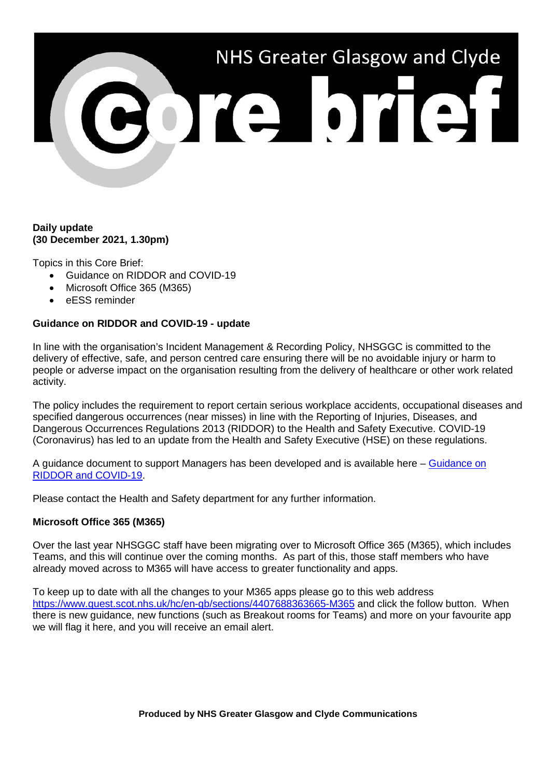

## **Daily update (30 December 2021, 1.30pm)**

Topics in this Core Brief:

- Guidance on RIDDOR and COVID-19
- Microsoft Office 365 (M365)
- eESS reminder

## **Guidance on RIDDOR and COVID-19 - update**

In line with the organisation's Incident Management & Recording Policy, NHSGGC is committed to the delivery of effective, safe, and person centred care ensuring there will be no avoidable injury or harm to people or adverse impact on the organisation resulting from the delivery of healthcare or other work related activity.

The policy includes the requirement to report certain serious workplace accidents, occupational diseases and specified dangerous occurrences (near misses) in line with the Reporting of Injuries, Diseases, and Dangerous Occurrences Regulations 2013 (RIDDOR) to the Health and Safety Executive. COVID-19 (Coronavirus) has led to an update from the Health and Safety Executive (HSE) on these regulations.

A guidance document to support Managers has been developed and is available here – [Guidance on](https://www.nhsggc.org.uk/working-with-us/hr-connect/health-safety/policies-guidance-documents-forms/incident-accident-management/covid-riddor-reporting/)  [RIDDOR and COVID-19.](https://www.nhsggc.org.uk/working-with-us/hr-connect/health-safety/policies-guidance-documents-forms/incident-accident-management/covid-riddor-reporting/)

Please contact the Health and Safety department for any further information.

## **Microsoft Office 365 (M365)**

Over the last year NHSGGC staff have been migrating over to Microsoft Office 365 (M365), which includes Teams, and this will continue over the coming months. As part of this, those staff members who have already moved across to M365 will have access to greater functionality and apps.

To keep up to date with all the changes to your M365 apps please go to this web address <https://www.quest.scot.nhs.uk/hc/en-gb/sections/4407688363665-M365> and click the follow button. When there is new guidance, new functions (such as Breakout rooms for Teams) and more on your favourite app we will flag it here, and you will receive an email alert.